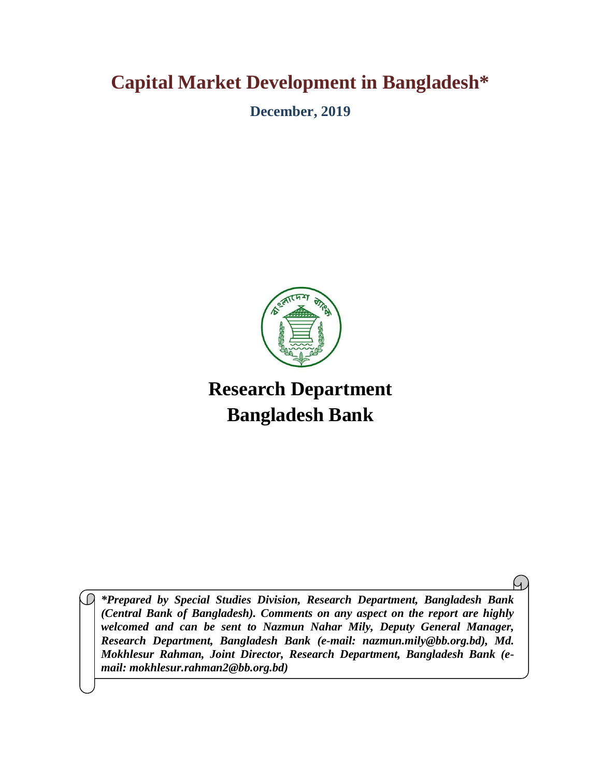## **Capital Market Development in Bangladesh\***

**December, 2019**



# **Research Department Bangladesh Bank**

*\*Prepared by Special Studies Division, Research Department, Bangladesh Bank (Central Bank of Bangladesh). Comments on any aspect on the report are highly welcomed and can be sent to Nazmun Nahar Mily, Deputy General Manager, Research Department, Bangladesh Bank (e-mail: nazmun.mily@bb.org.bd), Md. Mokhlesur Rahman, Joint Director, Research Department, Bangladesh Bank (email: mokhlesur.rahman2@bb.org.bd)*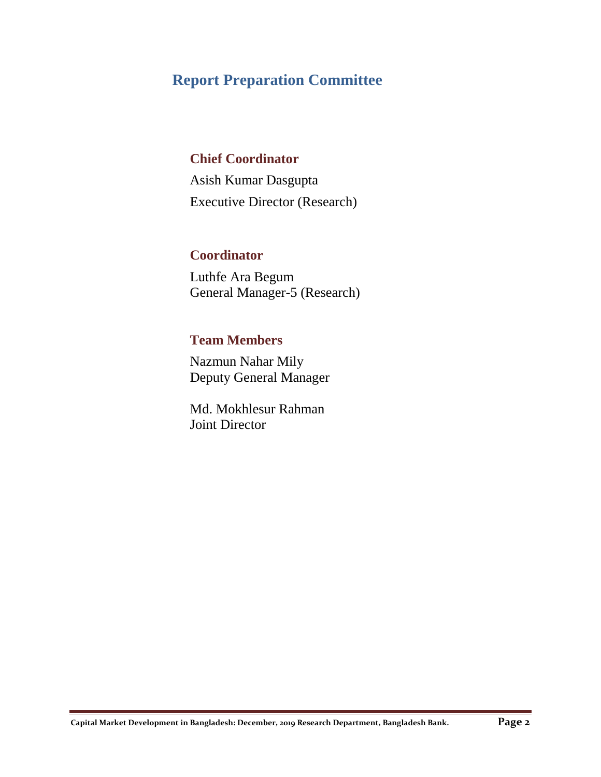## **Report Preparation Committee**

## **Chief Coordinator**

Asish Kumar Dasgupta Executive Director (Research)

## **Coordinator**

Luthfe Ara Begum General Manager-5 (Research)

### **Team Members**

Nazmun Nahar Mily Deputy General Manager

Md. Mokhlesur Rahman Joint Director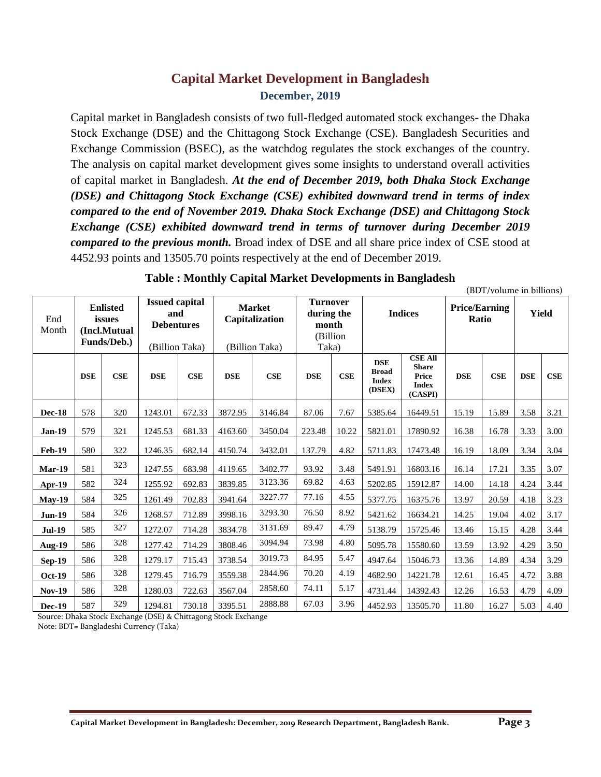## **Capital Market Development in Bangladesh December, 2019**

Capital market in Bangladesh consists of two full-fledged automated stock exchanges- the Dhaka Stock Exchange (DSE) and the Chittagong Stock Exchange (CSE). Bangladesh Securities and Exchange Commission (BSEC), as the watchdog regulates the stock exchanges of the country. The analysis on capital market development gives some insights to understand overall activities of capital market in Bangladesh. *At the end of December 2019, both Dhaka Stock Exchange (DSE) and Chittagong Stock Exchange (CSE) exhibited downward trend in terms of index compared to the end of November 2019. Dhaka Stock Exchange (DSE) and Chittagong Stock Exchange (CSE) exhibited downward trend in terms of turnover during December 2019 compared to the previous month.* Broad index of DSE and all share price index of CSE stood at 4452.93 points and 13505.70 points respectively at the end of December 2019.

| End<br>Month  | <b>Enlisted</b><br>issues<br>(Incl.Mutual<br>Funds/Deb.) |     | <b>Issued capital</b><br>and<br><b>Debentures</b><br>(Billion Taka) |        | <b>Market</b><br>Capitalization<br>(Billion Taka) |         | <b>Turnover</b><br>during the<br>month<br>(Billion<br>Taka) |            | <b>Indices</b>                                       |                                                                    | <b>Price/Earning</b><br>Ratio |       | <b>Yield</b> |      |
|---------------|----------------------------------------------------------|-----|---------------------------------------------------------------------|--------|---------------------------------------------------|---------|-------------------------------------------------------------|------------|------------------------------------------------------|--------------------------------------------------------------------|-------------------------------|-------|--------------|------|
|               | <b>DSE</b>                                               | CSE | <b>DSE</b>                                                          | CSE    | <b>DSE</b>                                        | CSE     | <b>DSE</b>                                                  | <b>CSE</b> | <b>DSE</b><br><b>Broad</b><br><b>Index</b><br>(DSEX) | <b>CSE All</b><br><b>Share</b><br>Price<br><b>Index</b><br>(CASPI) | <b>DSE</b>                    | CSE   | <b>DSE</b>   | CSE  |
| <b>Dec-18</b> | 578                                                      | 320 | 1243.01                                                             | 672.33 | 3872.95                                           | 3146.84 | 87.06                                                       | 7.67       | 5385.64                                              | 16449.51                                                           | 15.19                         | 15.89 | 3.58         | 3.21 |
| <b>Jan-19</b> | 579                                                      | 321 | 1245.53                                                             | 681.33 | 4163.60                                           | 3450.04 | 223.48                                                      | 10.22      | 5821.01                                              | 17890.92                                                           | 16.38                         | 16.78 | 3.33         | 3.00 |
| <b>Feb-19</b> | 580                                                      | 322 | 1246.35                                                             | 682.14 | 4150.74                                           | 3432.01 | 137.79                                                      | 4.82       | 5711.83                                              | 17473.48                                                           | 16.19                         | 18.09 | 3.34         | 3.04 |
| Mar-19        | 581                                                      | 323 | 1247.55                                                             | 683.98 | 4119.65                                           | 3402.77 | 93.92                                                       | 3.48       | 5491.91                                              | 16803.16                                                           | 16.14                         | 17.21 | 3.35         | 3.07 |
| Apr-19        | 582                                                      | 324 | 1255.92                                                             | 692.83 | 3839.85                                           | 3123.36 | 69.82                                                       | 4.63       | 5202.85                                              | 15912.87                                                           | 14.00                         | 14.18 | 4.24         | 3.44 |
| $May-19$      | 584                                                      | 325 | 1261.49                                                             | 702.83 | 3941.64                                           | 3227.77 | 77.16                                                       | 4.55       | 5377.75                                              | 16375.76                                                           | 13.97                         | 20.59 | 4.18         | 3.23 |
| <b>Jun-19</b> | 584                                                      | 326 | 1268.57                                                             | 712.89 | 3998.16                                           | 3293.30 | 76.50                                                       | 8.92       | 5421.62                                              | 16634.21                                                           | 14.25                         | 19.04 | 4.02         | 3.17 |
| <b>Jul-19</b> | 585                                                      | 327 | 1272.07                                                             | 714.28 | 3834.78                                           | 3131.69 | 89.47                                                       | 4.79       | 5138.79                                              | 15725.46                                                           | 13.46                         | 15.15 | 4.28         | 3.44 |
| Aug-19        | 586                                                      | 328 | 1277.42                                                             | 714.29 | 3808.46                                           | 3094.94 | 73.98                                                       | 4.80       | 5095.78                                              | 15580.60                                                           | 13.59                         | 13.92 | 4.29         | 3.50 |
| <b>Sep-19</b> | 586                                                      | 328 | 1279.17                                                             | 715.43 | 3738.54                                           | 3019.73 | 84.95                                                       | 5.47       | 4947.64                                              | 15046.73                                                           | 13.36                         | 14.89 | 4.34         | 3.29 |
| <b>Oct-19</b> | 586                                                      | 328 | 1279.45                                                             | 716.79 | 3559.38                                           | 2844.96 | 70.20                                                       | 4.19       | 4682.90                                              | 14221.78                                                           | 12.61                         | 16.45 | 4.72         | 3.88 |
| <b>Nov-19</b> | 586                                                      | 328 | 1280.03                                                             | 722.63 | 3567.04                                           | 2858.60 | 74.11                                                       | 5.17       | 4731.44                                              | 14392.43                                                           | 12.26                         | 16.53 | 4.79         | 4.09 |
| <b>Dec-19</b> | 587                                                      | 329 | 1294.81                                                             | 730.18 | 3395.51                                           | 2888.88 | 67.03                                                       | 3.96       | 4452.93                                              | 13505.70                                                           | 11.80                         | 16.27 | 5.03         | 4.40 |

#### **Table : Monthly Capital Market Developments in Bangladesh**

(BDT/volume in billions)

Source: Dhaka Stock Exchange (DSE) & Chittagong Stock Exchange Note: BDT= Bangladeshi Currency (Taka)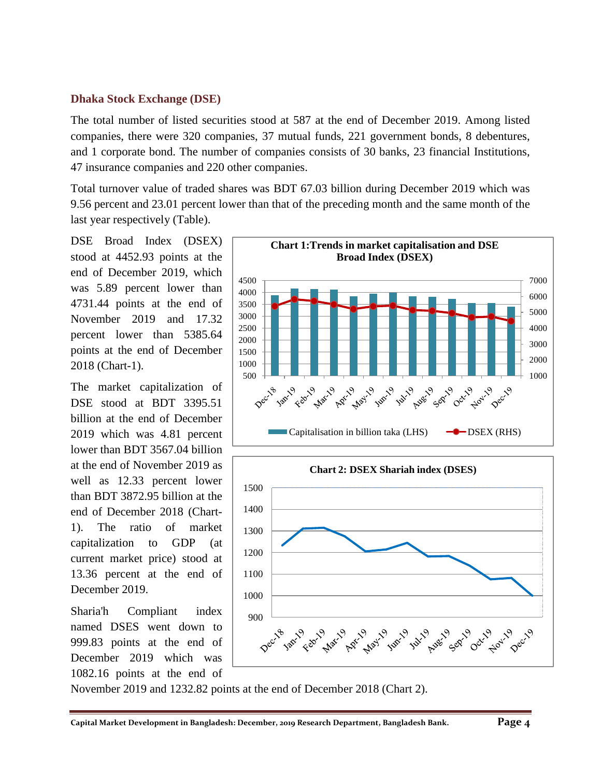#### **Dhaka Stock Exchange (DSE)**

The total number of listed securities stood at 587 at the end of December 2019. Among listed companies, there were 320 companies, 37 mutual funds, 221 government bonds, 8 debentures, and 1 corporate bond. The number of companies consists of 30 banks, 23 financial Institutions, 47 insurance companies and 220 other companies.

Total turnover value of traded shares was BDT 67.03 billion during December 2019 which was 9.56 percent and 23.01 percent lower than that of the preceding month and the same month of the last year respectively (Table).

DSE Broad Index (DSEX) stood at 4452.93 points at the end of December 2019, which was 5.89 percent lower than 4731.44 points at the end of November 2019 and 17.32 percent lower than 5385.64 points at the end of December 2018 (Chart-1).

The market capitalization of DSE stood at BDT 3395.51 billion at the end of December 2019 which was 4.81 percent lower than BDT 3567.04 billion at the end of November 2019 as well as 12.33 percent lower than BDT 3872.95 billion at the end of December 2018 (Chart-1). The ratio of market capitalization to GDP (at current market price) stood at 13.36 percent at the end of December 2019.

Sharia'h Compliant index named DSES went down to 999.83 points at the end of December 2019 which was 1082.16 points at the end of



November 2019 and 1232.82 points at the end of December 2018 (Chart 2).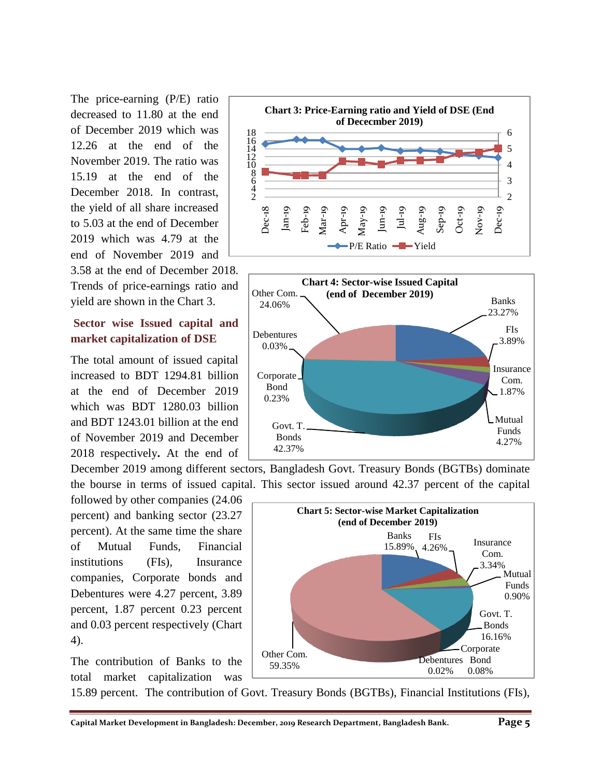The price-earning (P/E) ratio decreased to 11.80 at the end of December 2019 which was 12.26 at the end of the November 2019. The ratio was 15.19 at the end of the December 2018. In contrast, the yield of all share increased to 5.03 at the end of December 2019 which was 4.79 at the end of November 2019 and 3.58 at the end of December 2018.

Trends of price-earnings ratio and yield are shown in the Chart 3.

#### **Sector wise Issued capital and market capitalization of DSE**

The total amount of issued capital increased to BDT 1294.81 billion at the end of December 2019 which was BDT 1280.03 billion and BDT 1243.01 billion at the end of November 2019 and December 2018 respectively**.** At the end of





December 2019 among different sectors, Bangladesh Govt. Treasury Bonds (BGTBs) dominate the bourse in terms of issued capital. This sector issued around 42.37 percent of the capital

followed by other companies (24.06 percent) and banking sector (23.27 percent). At the same time the share of Mutual Funds, Financial institutions (FIs), Insurance companies, Corporate bonds and Debentures were 4.27 percent, 3.89 percent, 1.87 percent 0.23 percent and 0.03 percent respectively (Chart 4).

The contribution of Banks to the total market capitalization was



15.89 percent. The contribution of Govt. Treasury Bonds (BGTBs), Financial Institutions (FIs),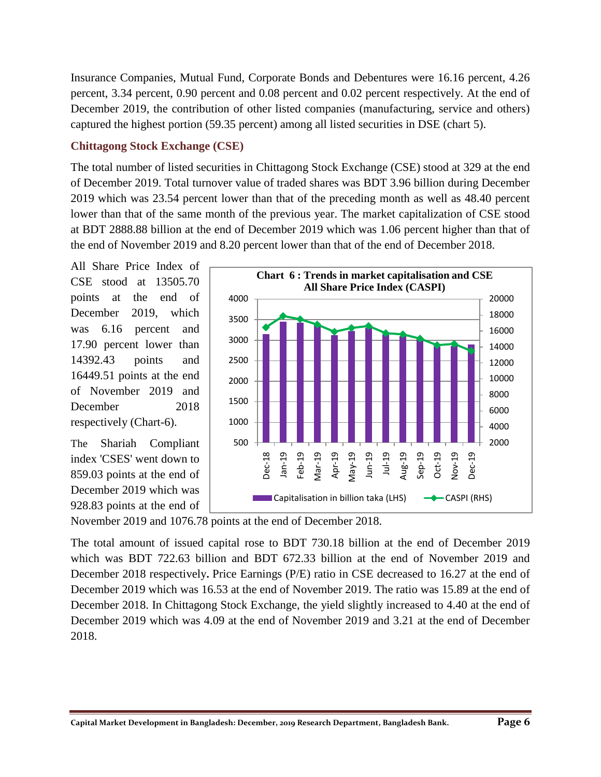Insurance Companies, Mutual Fund, Corporate Bonds and Debentures were 16.16 percent, 4.26 percent, 3.34 percent, 0.90 percent and 0.08 percent and 0.02 percent respectively. At the end of December 2019, the contribution of other listed companies (manufacturing, service and others) captured the highest portion (59.35 percent) among all listed securities in DSE (chart 5).

#### **Chittagong Stock Exchange (CSE)**

The total number of listed securities in Chittagong Stock Exchange (CSE) stood at 329 at the end of December 2019. Total turnover value of traded shares was BDT 3.96 billion during December 2019 which was 23.54 percent lower than that of the preceding month as well as 48.40 percent lower than that of the same month of the previous year. The market capitalization of CSE stood at BDT 2888.88 billion at the end of December 2019 which was 1.06 percent higher than that of the end of November 2019 and 8.20 percent lower than that of the end of December 2018.

All Share Price Index of CSE stood at 13505.70 points at the end of December 2019, which was 6.16 percent and 17.90 percent lower than 14392.43 points and 16449.51 points at the end of November 2019 and December 2018 respectively (Chart-6).

The Shariah Compliant index 'CSES' went down to 859.03 points at the end of December 2019 which was 928.83 points at the end of



November 2019 and 1076.78 points at the end of December 2018.

The total amount of issued capital rose to BDT 730.18 billion at the end of December 2019 which was BDT 722.63 billion and BDT 672.33 billion at the end of November 2019 and December 2018 respectively**.** Price Earnings (P/E) ratio in CSE decreased to 16.27 at the end of December 2019 which was 16.53 at the end of November 2019. The ratio was 15.89 at the end of December 2018. In Chittagong Stock Exchange, the yield slightly increased to 4.40 at the end of December 2019 which was 4.09 at the end of November 2019 and 3.21 at the end of December 2018.